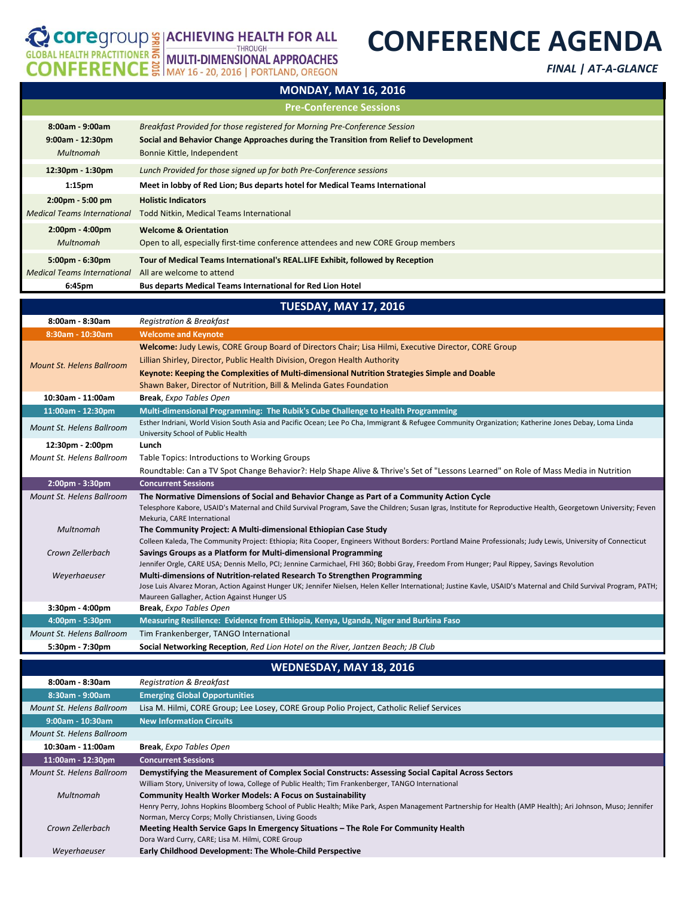## **CONFERENCE AGENDA**

COPPERTITIONER MULTI-DIMENSIONAL APPROACHES<br>CONFERENCE | MULTI-DIMENSIONAL APPROACHES

*FINAL | AT-A-GLANCE*

| <b>MONDAY, MAY 16, 2016</b>                                             |                                                                                                                                                                                                    |  |
|-------------------------------------------------------------------------|----------------------------------------------------------------------------------------------------------------------------------------------------------------------------------------------------|--|
| <b>Pre-Conference Sessions</b>                                          |                                                                                                                                                                                                    |  |
| $8:00am - 9:00am$<br>$9:00am - 12:30pm$<br>Multnomah                    | Breakfast Provided for those registered for Morning Pre-Conference Session<br>Social and Behavior Change Approaches during the Transition from Relief to Development<br>Bonnie Kittle, Independent |  |
| 12:30pm - 1:30pm                                                        | Lunch Provided for those signed up for both Pre-Conference sessions                                                                                                                                |  |
| 1:15 <sub>pm</sub>                                                      | Meet in lobby of Red Lion; Bus departs hotel for Medical Teams International                                                                                                                       |  |
| $2:00 \text{pm} - 5:00 \text{pm}$<br><b>Medical Teams International</b> | <b>Holistic Indicators</b><br>Todd Nitkin, Medical Teams International                                                                                                                             |  |
| $2:00 \text{pm} - 4:00 \text{pm}$<br>Multnomah                          | <b>Welcome &amp; Orientation</b><br>Open to all, especially first-time conference attendees and new CORE Group members                                                                             |  |
| $5:00 \text{pm} - 6:30 \text{pm}$<br><b>Medical Teams International</b> | Tour of Medical Teams International's REAL.LIFE Exhibit, followed by Reception<br>All are welcome to attend                                                                                        |  |
| 6:45pm                                                                  | <b>Bus departs Medical Teams International for Red Lion Hotel</b>                                                                                                                                  |  |

**MONDAY, MAY 16, 2016**

|                                  | <b>TUESDAY, MAY 17, 2016</b>                                                                                                                                                                |
|----------------------------------|---------------------------------------------------------------------------------------------------------------------------------------------------------------------------------------------|
| 8:00am - 8:30am                  | <b>Registration &amp; Breakfast</b>                                                                                                                                                         |
| 8:30am - 10:30am                 | <b>Welcome and Keynote</b>                                                                                                                                                                  |
| <b>Mount St. Helens Ballroom</b> | Welcome: Judy Lewis, CORE Group Board of Directors Chair; Lisa Hilmi, Executive Director, CORE Group                                                                                        |
|                                  | Lillian Shirley, Director, Public Health Division, Oregon Health Authority                                                                                                                  |
|                                  | Keynote: Keeping the Complexities of Multi-dimensional Nutrition Strategies Simple and Doable                                                                                               |
|                                  | Shawn Baker, Director of Nutrition, Bill & Melinda Gates Foundation                                                                                                                         |
| 10:30am - 11:00am                | <b>Break, Expo Tables Open</b>                                                                                                                                                              |
| 11:00am - 12:30pm                | Multi-dimensional Programming: The Rubik's Cube Challenge to Health Programming                                                                                                             |
| Mount St. Helens Ballroom        | Esther Indriani, World Vision South Asia and Pacific Ocean; Lee Po Cha, Immigrant & Refugee Community Organization; Katherine Jones Debay, Loma Linda<br>University School of Public Health |
| 12:30pm - 2:00pm                 | Lunch                                                                                                                                                                                       |
| Mount St. Helens Ballroom        | Table Topics: Introductions to Working Groups                                                                                                                                               |
|                                  | Roundtable: Can a TV Spot Change Behavior?: Help Shape Alive & Thrive's Set of "Lessons Learned" on Role of Mass Media in Nutrition                                                         |
| 2:00pm - 3:30pm                  | <b>Concurrent Sessions</b>                                                                                                                                                                  |
| Mount St. Helens Ballroom        | The Normative Dimensions of Social and Behavior Change as Part of a Community Action Cycle                                                                                                  |
|                                  | Telesphore Kabore, USAID's Maternal and Child Survival Program, Save the Children; Susan Igras, Institute for Reproductive Health, Georgetown University; Feven                             |
|                                  | Mekuria, CARE International                                                                                                                                                                 |
| Multnomah                        | The Community Project: A Multi-dimensional Ethiopian Case Study                                                                                                                             |
|                                  | Colleen Kaleda, The Community Project: Ethiopia; Rita Cooper, Engineers Without Borders: Portland Maine Professionals; Judy Lewis, University of Connecticut                                |
| Crown Zellerbach                 | Savings Groups as a Platform for Multi-dimensional Programming                                                                                                                              |
|                                  | Jennifer Orgle, CARE USA; Dennis Mello, PCI; Jennine Carmichael, FHI 360; Bobbi Gray, Freedom From Hunger; Paul Rippey, Savings Revolution                                                  |
| Weyerhaeuser                     | Multi-dimensions of Nutrition-related Research To Strengthen Programming                                                                                                                    |
|                                  | Jose Luis Alvarez Moran, Action Against Hunger UK; Jennifer Nielsen, Helen Keller International; Justine Kavle, USAID's Maternal and Child Survival Program, PATH;                          |
| 3:30pm - 4:00pm                  | Maureen Gallagher, Action Against Hunger US<br><b>Break</b> , Expo Tables Open                                                                                                              |
| 4:00pm - 5:30pm                  | Measuring Resilience: Evidence from Ethiopia, Kenya, Uganda, Niger and Burkina Faso                                                                                                         |
| Mount St. Helens Ballroom        | Tim Frankenberger, TANGO International                                                                                                                                                      |

## **WEDNESDAY, MAY 18, 2016**

| 8:00am - 8:30am           | <b>Registration &amp; Breakfast</b>                                                                                                                        |
|---------------------------|------------------------------------------------------------------------------------------------------------------------------------------------------------|
| $8:30am - 9:00am$         | <b>Emerging Global Opportunities</b>                                                                                                                       |
| Mount St. Helens Ballroom | Lisa M. Hilmi, CORE Group; Lee Losey, CORE Group Polio Project, Catholic Relief Services                                                                   |
| $9:00$ am - 10:30am       | <b>New Information Circuits</b>                                                                                                                            |
| Mount St. Helens Ballroom |                                                                                                                                                            |
| 10:30am - 11:00am         | <b>Break, Expo Tables Open</b>                                                                                                                             |
| 11:00am - 12:30pm         | <b>Concurrent Sessions</b>                                                                                                                                 |
| Mount St. Helens Ballroom | Demystifying the Measurement of Complex Social Constructs: Assessing Social Capital Across Sectors                                                         |
|                           | William Story, University of Iowa, College of Public Health; Tim Frankenberger, TANGO International                                                        |
| Multnomah                 | <b>Community Health Worker Models: A Focus on Sustainability</b>                                                                                           |
|                           | Henry Perry, Johns Hopkins Bloomberg School of Public Health; Mike Park, Aspen Management Partnership for Health (AMP Health); Ari Johnson, Muso; Jennifer |
|                           | Norman, Mercy Corps; Molly Christiansen, Living Goods                                                                                                      |
| Crown Zellerbach          | Meeting Health Service Gaps In Emergency Situations - The Role For Community Health                                                                        |
|                           | Dora Ward Curry, CARE; Lisa M. Hilmi, CORE Group                                                                                                           |
| Weyerhaeuser              | Early Childhood Development: The Whole-Child Perspective                                                                                                   |
|                           |                                                                                                                                                            |